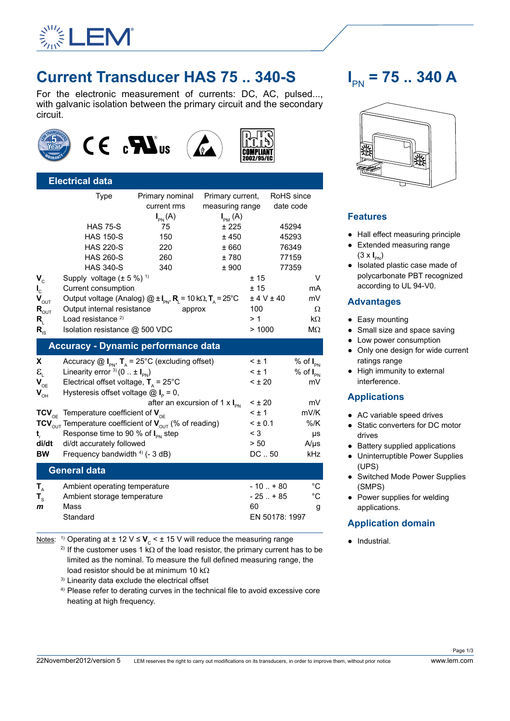

# **Current Transducer HAS 75 .. 340-S**

For the electronic measurement of currents: DC, AC, pulsed..., with galvanic isolation between the primary circuit and the secondary circuit.







# **Electrical data** Type Primary nominal Primary current, RoHS since

|                                            |                                                                                               | current rms        | measuring range                                  |                    | date code         |  |  |  |
|--------------------------------------------|-----------------------------------------------------------------------------------------------|--------------------|--------------------------------------------------|--------------------|-------------------|--|--|--|
|                                            |                                                                                               | $I_{\text{PN}}(A)$ | $I_{PM}(A)$                                      |                    |                   |  |  |  |
|                                            | <b>HAS 75-S</b>                                                                               | 75                 | ± 225                                            |                    | 45294             |  |  |  |
|                                            | <b>HAS 150-S</b>                                                                              | 150                | ±450                                             |                    | 45293             |  |  |  |
|                                            | <b>HAS 220-S</b>                                                                              | 220                | ±660                                             |                    | 76349             |  |  |  |
|                                            | <b>HAS 260-S</b>                                                                              | 260                | ±780                                             |                    | 77159             |  |  |  |
|                                            | <b>HAS 340-S</b>                                                                              | 340                | ± 900                                            |                    | 77359             |  |  |  |
| $V_c$                                      | Supply voltage $(\pm 5\%)$ <sup>1)</sup>                                                      |                    |                                                  | ±15                | V                 |  |  |  |
| $\mathbf{l}_{\rm c}$                       | Current consumption                                                                           |                    |                                                  | ± 15               | mA                |  |  |  |
| $\mathbf{V}_{\text{out}}$                  | Output voltage (Analog) $@ \pm I_{\text{PN}}$ , R <sub>1</sub> = 10 kΩ, T <sub>A</sub> = 25°C |                    |                                                  | $\pm$ 4 V $\pm$ 40 | mV                |  |  |  |
| $\mathbf{R}_{\text{OUT}}$                  | Output internal resistance                                                                    |                    | approx                                           | 100                | Ω                 |  |  |  |
| R,                                         | Load resistance <sup>2)</sup>                                                                 |                    |                                                  | >1                 | $k\Omega$         |  |  |  |
| $R_{\rm IS}$                               | Isolation resistance @ 500 VDC                                                                |                    |                                                  | >1000              | $M\Omega$         |  |  |  |
| <b>Accuracy - Dynamic performance data</b> |                                                                                               |                    |                                                  |                    |                   |  |  |  |
| X.                                         | Accuracy $\textcircled{a}$ I <sub>PN</sub> , T <sub>A</sub> = 25°C (excluding offset)         |                    |                                                  | $< \pm 1$          | % of $I_{PN}$     |  |  |  |
| $\mathbf{E}_{\mathrm{i}}$                  | Linearity error $^{3}$ (0 $\pm$ I <sub>PN</sub> )                                             |                    |                                                  | $\leq \pm 1$       | % of $I_{PN}$     |  |  |  |
| $\mathbf{V}_{\text{OE}}$                   | Electrical offset voltage, $T_a = 25^{\circ}C$                                                |                    |                                                  | $< \pm 20$         | mV                |  |  |  |
| $V_{\text{OH}}$                            | Hysteresis offset voltage $\textcircled{a}$ I <sub>P</sub> = 0,                               |                    |                                                  |                    |                   |  |  |  |
|                                            |                                                                                               |                    | after an excursion of 1 $\times$ I <sub>PN</sub> | < 1.20             | mV                |  |  |  |
|                                            | $TCV_{\text{OE}}$ Temperature coefficient of $V_{\text{OE}}$                                  |                    |                                                  | $< \pm 1$          | mV/K              |  |  |  |
|                                            | TCV <sub>OUT</sub> Temperature coefficient of $V_{\text{out}}$ (% of reading)                 |                    |                                                  | < 10.1             | $%$ /K            |  |  |  |
| t,                                         | Response time to 90 % of $I_{PN}$ step                                                        |                    |                                                  | $\leq 3$           | μs                |  |  |  |
| di/dt                                      | di/dt accurately followed                                                                     |                    |                                                  | > 50               | $A/\mu s$         |  |  |  |
| <b>BW</b>                                  | Frequency bandwidth 4) (- 3 dB)                                                               |                    |                                                  | DC  50             | kHz               |  |  |  |
|                                            | <b>General data</b>                                                                           |                    |                                                  |                    |                   |  |  |  |
| $T_{A}$                                    | Ambient operating temperature                                                                 |                    |                                                  | $-10$ $+80$        | $^{\circ}{\rm C}$ |  |  |  |
| $\mathbf{T}_\text{s}$                      | Ambient storage temperature                                                                   |                    |                                                  | $-25$ $+85$        | $^{\circ}{\rm C}$ |  |  |  |
| $\mathbf{m}$                               | Mass                                                                                          |                    |                                                  | 60                 | g                 |  |  |  |

Notes: <sup>1)</sup> Operating at  $\pm$  12 V  $\leq$  **V**<sub>c</sub> <  $\pm$  15 V will reduce the measuring range

<sup>2)</sup> If the customer uses 1 kΩ of the load resistor, the primary current has to be limited as the nominal. To measure the full defined measuring range, the load resistor should be at minimum 10 kΩ

Standard EN 50178: 1997

3) Linearity data exclude the electrical offset

4) Please refer to derating curves in the technical file to avoid excessive core heating at high frequency.

# **I** PN **= 75 .. 340 A**



# **Features**

- Hall effect measuring principle
- Extended measuring range (3 x **I** PN)
- Isolated plastic case made of polycarbonate PBT recognized according to UL 94-V0.

## **Advantages**

- Easy mounting
- Small size and space saving
- Low power consumption
- Only one design for wide current ratings range
- High immunity to external interference.

### **Applications**

- AC variable speed drives
- Static converters for DC motor drives
- Battery supplied applications
- Uninterruptible Power Supplies (UPS)
- Switched Mode Power Supplies (SMPS)
- Power supplies for welding applications.

# **Application domain**

● Industrial.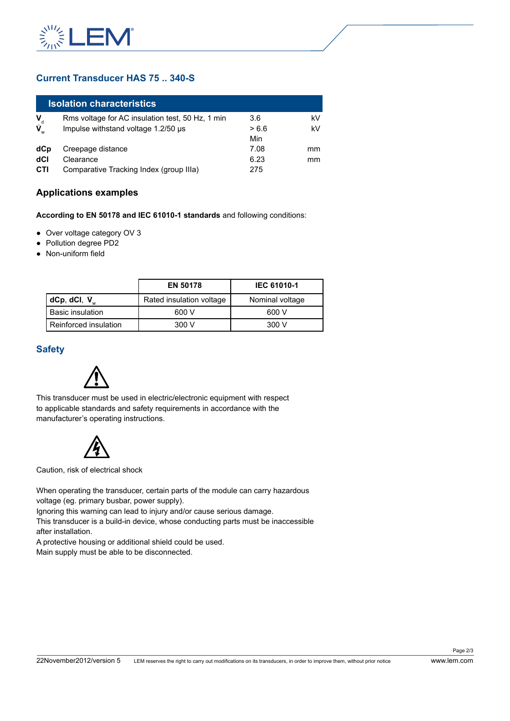

## **Current Transducer HAS 75 .. 340-S**

| <b>Isolation characteristics</b> |                                                  |       |    |  |  |  |
|----------------------------------|--------------------------------------------------|-------|----|--|--|--|
|                                  | Rms voltage for AC insulation test, 50 Hz, 1 min | 3.6   | kV |  |  |  |
| $\mathbf{V}_{\text{d}}$          | Impulse withstand voltage 1.2/50 us              | > 6.6 | kV |  |  |  |
|                                  |                                                  | Min   |    |  |  |  |
| dCp                              | Creepage distance                                | 7.08  | mm |  |  |  |
| dCl                              | Clearance                                        | 6.23  | mm |  |  |  |
| CTI                              | Comparative Tracking Index (group IIIa)          | 275   |    |  |  |  |

### **Applications examples**

**According to EN 50178 and IEC 61010-1 standards** and following conditions:

- Over voltage category OV 3
- Pollution degree PD2
- Non-uniform field

|                         | <b>EN 50178</b>          | <b>IEC 61010-1</b> |
|-------------------------|--------------------------|--------------------|
| dCp, dCl, $\hat{V}_{w}$ | Rated insulation voltage | Nominal voltage    |
| <b>Basic insulation</b> | 600 V                    | 600 V              |
| Reinforced insulation   | 300 V                    | 300 V              |

#### **Safety**



This transducer must be used in electric/electronic equipment with respect to applicable standards and safety requirements in accordance with the manufacturer's operating instructions.



Caution, risk of electrical shock

When operating the transducer, certain parts of the module can carry hazardous voltage (eg. primary busbar, power supply).

Ignoring this warning can lead to injury and/or cause serious damage.

This transducer is a build-in device, whose conducting parts must be inaccessible after installation.

A protective housing or additional shield could be used.

Main supply must be able to be disconnected.